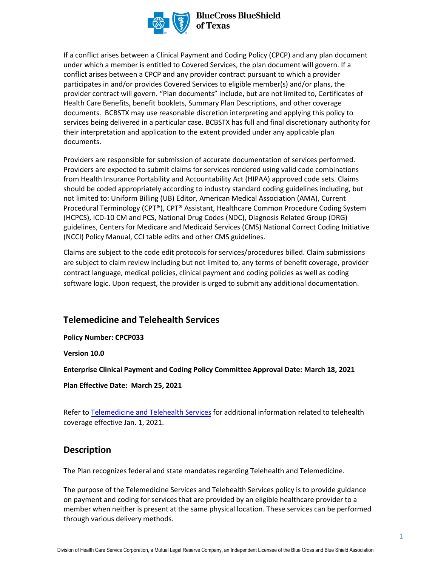

#### **BlueCross BlueShield** of Texas

If a conflict arises between a Clinical Payment and Coding Policy (CPCP) and any plan document under which a member is entitled to Covered Services, the plan document will govern. If a conflict arises between a CPCP and any provider contract pursuant to which a provider participates in and/or provides Covered Services to eligible member(s) and/or plans, the provider contract will govern. "Plan documents" include, but are not limited to, Certificates of Health Care Benefits, benefit booklets, Summary Plan Descriptions, and other coverage documents. BCBSTX may use reasonable discretion interpreting and applying this policy to services being delivered in a particular case. BCBSTX has full and final discretionary authority for their interpretation and application to the extent provided under any applicable plan documents.

Providers are responsible for submission of accurate documentation of services performed. Providers are expected to submit claims for services rendered using valid code combinations from Health Insurance Portability and Accountability Act (HIPAA) approved code sets. Claims should be coded appropriately according to industry standard coding guidelines including, but not limited to: Uniform Billing (UB) Editor, American Medical Association (AMA), Current Procedural Terminology (CPT®), CPT® Assistant, Healthcare Common Procedure Coding System (HCPCS), ICD-10 CM and PCS, National Drug Codes (NDC), Diagnosis Related Group (DRG) guidelines, Centers for Medicare and Medicaid Services (CMS) National Correct Coding Initiative (NCCI) Policy Manual, CCI table edits and other CMS guidelines.

Claims are subject to the code edit protocols for services/procedures billed. Claim submissions are subject to claim review including but not limited to, any terms of benefit coverage, provider contract language, medical policies, clinical payment and coding policies as well as coding software logic. Upon request, the provider is urged to submit any additional documentation.

# **Telemedicine and Telehealth Services**

**Policy Number: CPCP033** 

**Version 10.0** 

**Enterprise Clinical Payment and Coding Policy Committee Approval Date: March 18, 2021** 

**Plan Effective Date: March 25, 2021**

Refer to [Telemedicine and Telehealth Services](https://www.bcbstx.com/provider/clinical/tele_services.html) for additional information related to telehealth coverage effective Jan. 1, 2021.

#### **Description**

The Plan recognizes federal and state mandates regarding Telehealth and Telemedicine.

The purpose of the Telemedicine Services and Telehealth Services policy is to provide guidance on payment and coding for services that are provided by an eligible healthcare provider to a member when neither is present at the same physical location. These services can be performed through various delivery methods.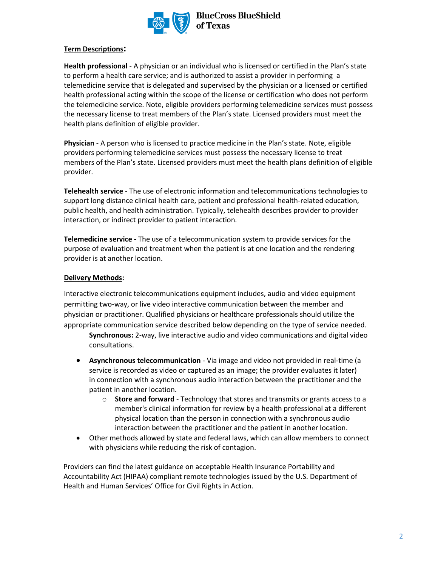

**BlueCross BlueShield** of Texas

#### **Term Descriptions:**

**Health professional** - A physician or an individual who is licensed or certified in the Plan's state to perform a health care service; and is authorized to assist a provider in performing a telemedicine service that is delegated and supervised by the physician or a licensed or certified health professional acting within the scope of the license or certification who does not perform the telemedicine service. Note, eligible providers performing telemedicine services must possess the necessary license to treat members of the Plan's state. Licensed providers must meet the health plans definition of eligible provider.

**Physician** - A person who is licensed to practice medicine in the Plan's state. Note, eligible providers performing telemedicine services must possess the necessary license to treat members of the Plan's state. Licensed providers must meet the health plans definition of eligible provider.

**Telehealth service** - The use of electronic information and telecommunications technologies to support long distance clinical health care, patient and professional health-related education, public health, and health administration. Typically, telehealth describes provider to provider interaction, or indirect provider to patient interaction.

**Telemedicine service -** The use of a telecommunication system to provide services for the purpose of evaluation and treatment when the patient is at one location and the rendering provider is at another location.

#### **Delivery Methods:**

Interactive electronic telecommunications equipment includes, audio and video equipment permitting two-way, or live video interactive communication between the member and physician or practitioner. Qualified physicians or healthcare professionals should utilize the appropriate communication service described below depending on the type of service needed.

**Synchronous:** 2-way, live interactive audio and video communications and digital video consultations.

- **Asynchronous telecommunication** Via image and video not provided in real-time (a service is recorded as video or captured as an image; the provider evaluates it later) in connection with a synchronous audio interaction between the practitioner and the patient in another location.
	- o **Store and forward** Technology that stores and transmits or grants access to a member's clinical information for review by a health professional at a different physical location than the person in connection with a synchronous audio interaction between the practitioner and the patient in another location.
- Other methods allowed by state and federal laws, which can allow members to connect with physicians while reducing the risk of contagion.

Providers can find the latest guidance on acceptable Health Insurance Portability and Accountability Act (HIPAA) compliant remote technologies issued by the U.S. Department of Health and Human Services' Office for Civil Rights in Action.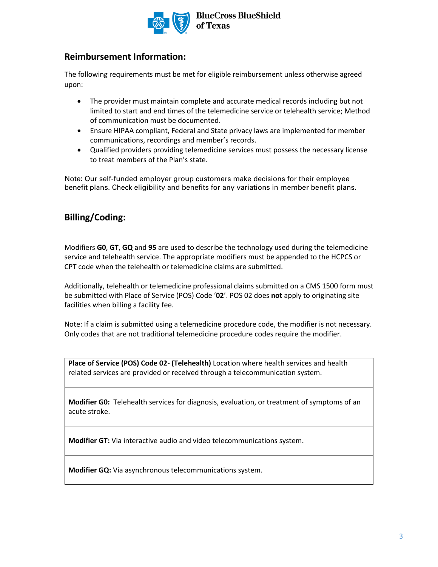

## **Reimbursement Information:**

The following requirements must be met for eligible reimbursement unless otherwise agreed upon:

- The provider must maintain complete and accurate medical records including but not limited to start and end times of the telemedicine service or telehealth service; Method of communication must be documented.
- Ensure HIPAA compliant, Federal and State privacy laws are implemented for member communications, recordings and member's records.
- Qualified providers providing telemedicine services must possess the necessary license to treat members of the Plan's state.

Note: Our self-funded employer group customers make decisions for their employee benefit plans. Check eligibility and benefits for any variations in member benefit plans.

# **Billing/Coding:**

Modifiers **G0**, **GT**, **GQ** and **95** are used to describe the technology used during the telemedicine service and telehealth service. The appropriate modifiers must be appended to the HCPCS or CPT code when the telehealth or telemedicine claims are submitted.

Additionally, telehealth or telemedicine professional claims submitted on a CMS 1500 form must be submitted with Place of Service (POS) Code '**02**'. POS 02 does **not** apply to originating site facilities when billing a facility fee.

Note: If a claim is submitted using a telemedicine procedure code, the modifier is not necessary. Only codes that are not traditional telemedicine procedure codes require the modifier.

**Place of Service (POS) Code 02**- **(Telehealth)** Location where health services and health related services are provided or received through a telecommunication system.

**Modifier G0:** Telehealth services for diagnosis, evaluation, or treatment of symptoms of an acute stroke.

**Modifier GT:** Via interactive audio and video telecommunications system.

**Modifier GQ:** Via asynchronous telecommunications system.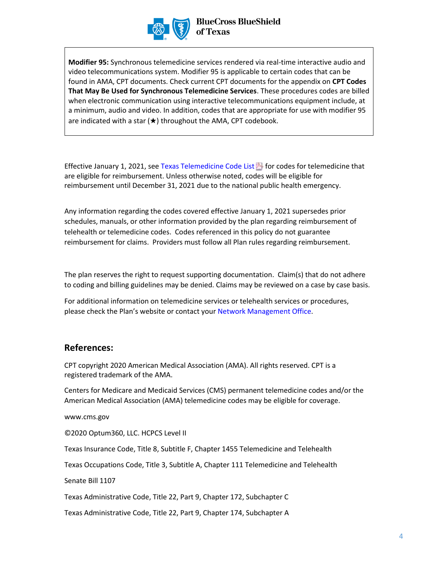

**Modifier 95:** Synchronous telemedicine services rendered via real-time interactive audio and video telecommunications system. Modifier 95 is applicable to certain codes that can be found in AMA, CPT documents. Check current CPT documents for the appendix on **CPT Codes That May Be Used for Synchronous Telemedicine Services**. These procedures codes are billed when electronic communication using interactive telecommunications equipment include, at a minimum, audio and video. In addition, codes that are appropriate for use with modifier 95 are indicated with a star  $(\star)$  throughout the AMA, CPT codebook.

Effective January 1, 2021, see Texas Telemedicine Code List $\mathbb{E}$  for codes for telemedicine that are eligible for reimbursement. Unless otherwise noted, codes will be eligible for reimbursement until December 31, 2021 due to the national public health emergency.

Any information regarding the codes covered effective January 1, 2021 supersedes prior schedules, manuals, or other information provided by the plan regarding reimbursement of telehealth or telemedicine codes. Codes referenced in this policy do not guarantee reimbursement for claims. Providers must follow all Plan rules regarding reimbursement.

The plan reserves the right to request supporting documentation. Claim(s) that do not adhere to coding and billing guidelines may be denied. Claims may be reviewed on a case by case basis.

For additional information on telemedicine services or telehealth services or procedures, please check the Plan's website or contact your [Network Management Office](https://www.bcbstx.com/provider/contact_us.html).

## **References:**

CPT copyright 2020 American Medical Association (AMA). All rights reserved. CPT is a registered trademark of the AMA.

Centers for Medicare and Medicaid Services (CMS) permanent telemedicine codes and/or the American Medical Association (AMA) telemedicine codes may be eligible for coverage.

www.cms.gov

©2020 Optum360, LLC. HCPCS Level II

Texas Insurance Code, Title 8, Subtitle F, Chapter 1455 Telemedicine and Telehealth

Texas Occupations Code, Title 3, Subtitle A, Chapter 111 Telemedicine and Telehealth

Senate Bill 1107

Texas Administrative Code, Title 22, Part 9, Chapter 172, Subchapter C

Texas Administrative Code, Title 22, Part 9, Chapter 174, Subchapter A